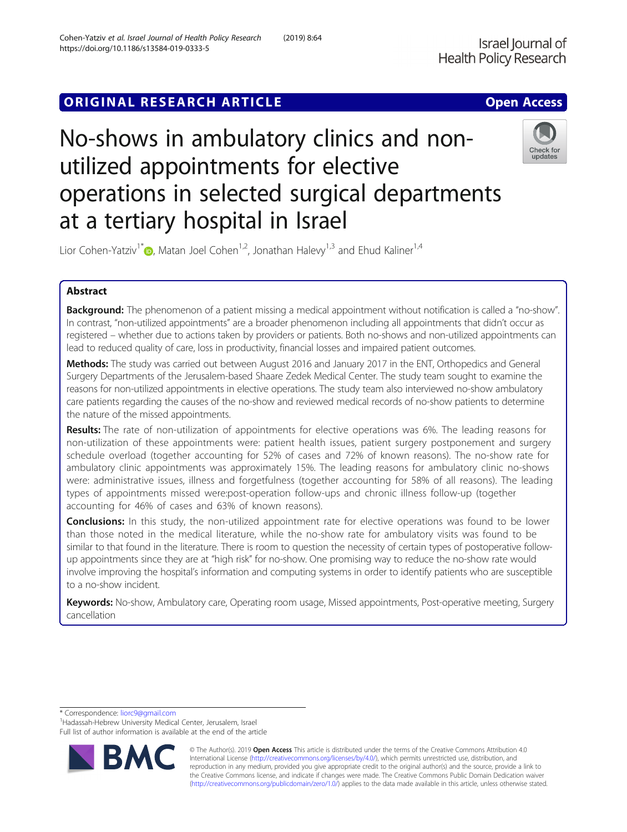# **ORIGINAL RESEARCH ARTICLE CONSUMING ACCESS**

# No-shows in ambulatory clinics and nonutilized appointments for elective operations in selected surgical departments at a tertiary hospital in Israel



Lior Cohen-Yatziv<sup>1\*</sup>  $\bullet$ [,](http://orcid.org/0000-0002-0496-4726) Matan Joel Cohen<sup>1,2</sup>, Jonathan Halevy<sup>1,3</sup> and Ehud Kaliner<sup>1,4</sup>

## Abstract

Background: The phenomenon of a patient missing a medical appointment without notification is called a "no-show". In contrast, "non-utilized appointments" are a broader phenomenon including all appointments that didn't occur as registered – whether due to actions taken by providers or patients. Both no-shows and non-utilized appointments can lead to reduced quality of care, loss in productivity, financial losses and impaired patient outcomes.

Methods: The study was carried out between August 2016 and January 2017 in the ENT, Orthopedics and General Surgery Departments of the Jerusalem-based Shaare Zedek Medical Center. The study team sought to examine the reasons for non-utilized appointments in elective operations. The study team also interviewed no-show ambulatory care patients regarding the causes of the no-show and reviewed medical records of no-show patients to determine the nature of the missed appointments.

Results: The rate of non-utilization of appointments for elective operations was 6%. The leading reasons for non-utilization of these appointments were: patient health issues, patient surgery postponement and surgery schedule overload (together accounting for 52% of cases and 72% of known reasons). The no-show rate for ambulatory clinic appointments was approximately 15%. The leading reasons for ambulatory clinic no-shows were: administrative issues, illness and forgetfulness (together accounting for 58% of all reasons). The leading types of appointments missed were:post-operation follow-ups and chronic illness follow-up (together accounting for 46% of cases and 63% of known reasons).

**Conclusions:** In this study, the non-utilized appointment rate for elective operations was found to be lower than those noted in the medical literature, while the no-show rate for ambulatory visits was found to be similar to that found in the literature. There is room to question the necessity of certain types of postoperative followup appointments since they are at "high risk" for no-show. One promising way to reduce the no-show rate would involve improving the hospital's information and computing systems in order to identify patients who are susceptible to a no-show incident.

Keywords: No-show, Ambulatory care, Operating room usage, Missed appointments, Post-operative meeting, Surgery cancellation

\* Correspondence: [liorc9@gmail.com](mailto:liorc9@gmail.com) <sup>1</sup>

<sup>1</sup> Hadassah-Hebrew University Medical Center, Jerusalem, Israel Full list of author information is available at the end of the article



© The Author(s). 2019 **Open Access** This article is distributed under the terms of the Creative Commons Attribution 4.0 International License [\(http://creativecommons.org/licenses/by/4.0/](http://creativecommons.org/licenses/by/4.0/)), which permits unrestricted use, distribution, and reproduction in any medium, provided you give appropriate credit to the original author(s) and the source, provide a link to the Creative Commons license, and indicate if changes were made. The Creative Commons Public Domain Dedication waiver [\(http://creativecommons.org/publicdomain/zero/1.0/](http://creativecommons.org/publicdomain/zero/1.0/)) applies to the data made available in this article, unless otherwise stated.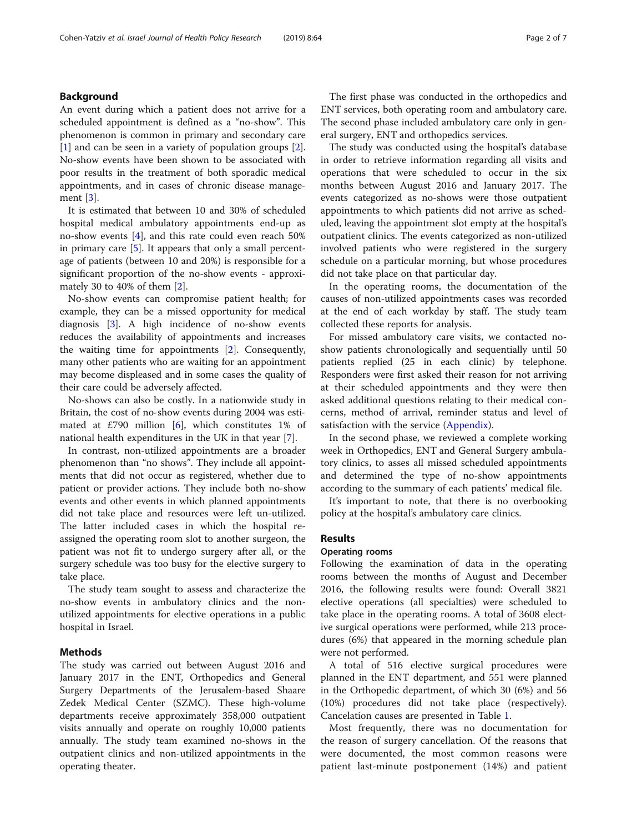#### Background

An event during which a patient does not arrive for a scheduled appointment is defined as a "no-show". This phenomenon is common in primary and secondary care [[1\]](#page-6-0) and can be seen in a variety of population groups [\[2](#page-6-0)]. No-show events have been shown to be associated with poor results in the treatment of both sporadic medical appointments, and in cases of chronic disease management [[3\]](#page-6-0).

It is estimated that between 10 and 30% of scheduled hospital medical ambulatory appointments end-up as no-show events [\[4](#page-6-0)], and this rate could even reach 50% in primary care  $[5]$  $[5]$  $[5]$ . It appears that only a small percentage of patients (between 10 and 20%) is responsible for a significant proportion of the no-show events - approximately 30 to 40% of them [\[2](#page-6-0)].

No-show events can compromise patient health; for example, they can be a missed opportunity for medical diagnosis [[3](#page-6-0)]. A high incidence of no-show events reduces the availability of appointments and increases the waiting time for appointments [[2\]](#page-6-0). Consequently, many other patients who are waiting for an appointment may become displeased and in some cases the quality of their care could be adversely affected.

No-shows can also be costly. In a nationwide study in Britain, the cost of no-show events during 2004 was estimated at £790 million  $[6]$  $[6]$ , which constitutes 1% of national health expenditures in the UK in that year [\[7](#page-6-0)].

In contrast, non-utilized appointments are a broader phenomenon than "no shows". They include all appointments that did not occur as registered, whether due to patient or provider actions. They include both no-show events and other events in which planned appointments did not take place and resources were left un-utilized. The latter included cases in which the hospital reassigned the operating room slot to another surgeon, the patient was not fit to undergo surgery after all, or the surgery schedule was too busy for the elective surgery to take place.

The study team sought to assess and characterize the no-show events in ambulatory clinics and the nonutilized appointments for elective operations in a public hospital in Israel.

### Methods

The study was carried out between August 2016 and January 2017 in the ENT, Orthopedics and General Surgery Departments of the Jerusalem-based Shaare Zedek Medical Center (SZMC). These high-volume departments receive approximately 358,000 outpatient visits annually and operate on roughly 10,000 patients annually. The study team examined no-shows in the outpatient clinics and non-utilized appointments in the operating theater.

The first phase was conducted in the orthopedics and ENT services, both operating room and ambulatory care. The second phase included ambulatory care only in general surgery, ENT and orthopedics services.

The study was conducted using the hospital's database in order to retrieve information regarding all visits and operations that were scheduled to occur in the six months between August 2016 and January 2017. The events categorized as no-shows were those outpatient appointments to which patients did not arrive as scheduled, leaving the appointment slot empty at the hospital's outpatient clinics. The events categorized as non-utilized involved patients who were registered in the surgery schedule on a particular morning, but whose procedures did not take place on that particular day.

In the operating rooms, the documentation of the causes of non-utilized appointments cases was recorded at the end of each workday by staff. The study team collected these reports for analysis.

For missed ambulatory care visits, we contacted noshow patients chronologically and sequentially until 50 patients replied (25 in each clinic) by telephone. Responders were first asked their reason for not arriving at their scheduled appointments and they were then asked additional questions relating to their medical concerns, method of arrival, reminder status and level of satisfaction with the service [\(Appendix\)](#page-6-0).

In the second phase, we reviewed a complete working week in Orthopedics, ENT and General Surgery ambulatory clinics, to asses all missed scheduled appointments and determined the type of no-show appointments according to the summary of each patients' medical file.

It's important to note, that there is no overbooking policy at the hospital's ambulatory care clinics.

#### Results

#### Operating rooms

Following the examination of data in the operating rooms between the months of August and December 2016, the following results were found: Overall 3821 elective operations (all specialties) were scheduled to take place in the operating rooms. A total of 3608 elective surgical operations were performed, while 213 procedures (6%) that appeared in the morning schedule plan were not performed.

A total of 516 elective surgical procedures were planned in the ENT department, and 551 were planned in the Orthopedic department, of which 30 (6%) and 56 (10%) procedures did not take place (respectively). Cancelation causes are presented in Table [1](#page-2-0).

Most frequently, there was no documentation for the reason of surgery cancellation. Of the reasons that were documented, the most common reasons were patient last-minute postponement (14%) and patient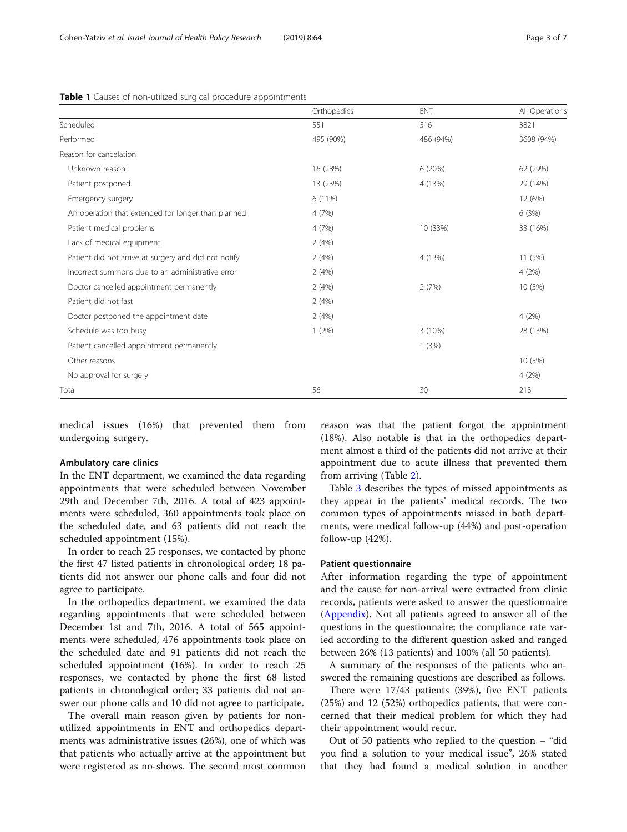|                                                      | Orthopedics | <b>ENT</b> | All Operations |
|------------------------------------------------------|-------------|------------|----------------|
| Scheduled                                            | 551         | 516        | 3821           |
| Performed                                            | 495 (90%)   | 486 (94%)  | 3608 (94%)     |
| Reason for cancelation                               |             |            |                |
| Unknown reason                                       | 16 (28%)    | 6(20%)     | 62 (29%)       |
| Patient postponed                                    | 13 (23%)    | 4 (13%)    | 29 (14%)       |
| Emergency surgery                                    | 6 (11%)     |            | 12 (6%)        |
| An operation that extended for longer than planned   | 4 (7%)      |            | 6(3%)          |
| Patient medical problems                             | 4(7%)       | 10 (33%)   | 33 (16%)       |
| Lack of medical equipment                            | 2(4%)       |            |                |
| Patient did not arrive at surgery and did not notify | 2(4%)       | 4 (13%)    | 11 (5%)        |
| Incorrect summons due to an administrative error     | 2(4%)       |            | 4(2%)          |
| Doctor cancelled appointment permanently             | 2(4%)       | 2(7%)      | 10 (5%)        |
| Patient did not fast                                 | 2(4%)       |            |                |
| Doctor postponed the appointment date                | 2(4%)       |            | 4(2%)          |
| Schedule was too busy                                | 1(2%)       | $3(10\%)$  | 28 (13%)       |
| Patient cancelled appointment permanently            |             | 1(3%)      |                |
| Other reasons                                        |             |            | 10 (5%)        |
| No approval for surgery                              |             |            | 4(2%)          |
| Total                                                | 56          | 30         | 213            |

<span id="page-2-0"></span>Table 1 Causes of non-utilized surgical procedure appointments

medical issues (16%) that prevented them from undergoing surgery.

#### Ambulatory care clinics

In the ENT department, we examined the data regarding appointments that were scheduled between November 29th and December 7th, 2016. A total of 423 appointments were scheduled, 360 appointments took place on the scheduled date, and 63 patients did not reach the scheduled appointment (15%).

In order to reach 25 responses, we contacted by phone the first 47 listed patients in chronological order; 18 patients did not answer our phone calls and four did not agree to participate.

In the orthopedics department, we examined the data regarding appointments that were scheduled between December 1st and 7th, 2016. A total of 565 appointments were scheduled, 476 appointments took place on the scheduled date and 91 patients did not reach the scheduled appointment (16%). In order to reach 25 responses, we contacted by phone the first 68 listed patients in chronological order; 33 patients did not answer our phone calls and 10 did not agree to participate.

The overall main reason given by patients for nonutilized appointments in ENT and orthopedics departments was administrative issues (26%), one of which was that patients who actually arrive at the appointment but were registered as no-shows. The second most common reason was that the patient forgot the appointment (18%). Also notable is that in the orthopedics department almost a third of the patients did not arrive at their appointment due to acute illness that prevented them from arriving (Table [2](#page-3-0)).

Table [3](#page-3-0) describes the types of missed appointments as they appear in the patients' medical records. The two common types of appointments missed in both departments, were medical follow-up (44%) and post-operation follow-up (42%).

#### Patient questionnaire

After information regarding the type of appointment and the cause for non-arrival were extracted from clinic records, patients were asked to answer the questionnaire ([Appendix\)](#page-6-0). Not all patients agreed to answer all of the questions in the questionnaire; the compliance rate varied according to the different question asked and ranged between 26% (13 patients) and 100% (all 50 patients).

A summary of the responses of the patients who answered the remaining questions are described as follows.

There were 17/43 patients (39%), five ENT patients (25%) and 12 (52%) orthopedics patients, that were concerned that their medical problem for which they had their appointment would recur.

Out of 50 patients who replied to the question – "did you find a solution to your medical issue", 26% stated that they had found a medical solution in another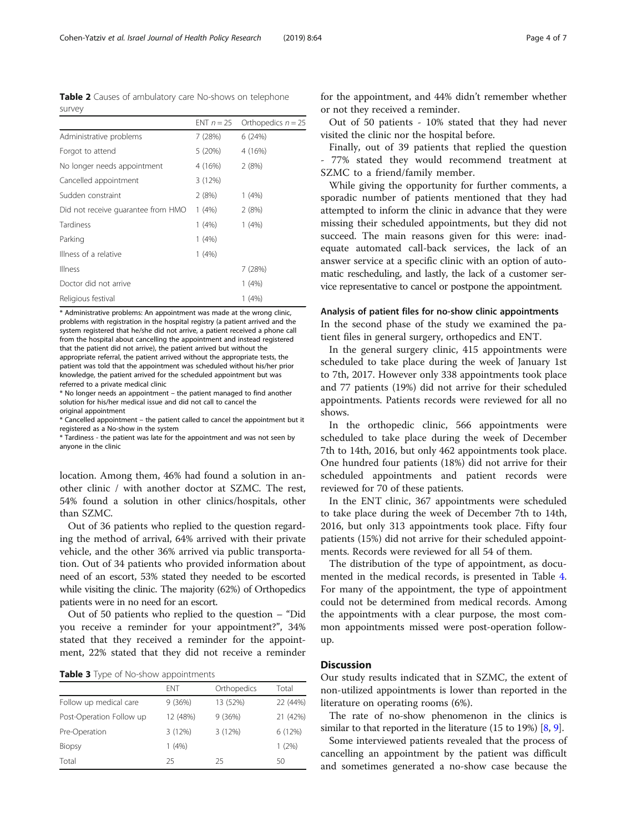<span id="page-3-0"></span>Table 2 Causes of ambulatory care No-shows on telephone survey

|                                    |         | ENT $n = 25$ Orthopedics $n = 25$ |
|------------------------------------|---------|-----------------------------------|
| Administrative problems            | 7(28%)  | 6(24%)                            |
| Forgot to attend                   | 5 (20%) | 4 (16%)                           |
| No longer needs appointment        | 4 (16%) | 2(8%)                             |
| Cancelled appointment              | 3(12%)  |                                   |
| Sudden constraint                  | 2(8%)   | 1(4%)                             |
| Did not receive quarantee from HMO | 1 (4%)  | 2(8%)                             |
| Tardiness                          | 1 (4%)  | 1(4%)                             |
| Parking                            | 1(4%)   |                                   |
| Illness of a relative              | 1(4%)   |                                   |
| Illness                            |         | 7(28%)                            |
| Doctor did not arrive              |         | $1(4\%)$                          |
| Religious festival                 |         | 1 (4%)                            |

\* Administrative problems: An appointment was made at the wrong clinic, problems with registration in the hospital registry (a patient arrived and the system registered that he/she did not arrive, a patient received a phone call from the hospital about cancelling the appointment and instead registered that the patient did not arrive), the patient arrived but without the appropriate referral, the patient arrived without the appropriate tests, the patient was told that the appointment was scheduled without his/her prior knowledge, the patient arrived for the scheduled appointment but was referred to a private medical clinic

\* No longer needs an appointment – the patient managed to find another solution for his/her medical issue and did not call to cancel the original appointment

\* Cancelled appointment – the patient called to cancel the appointment but it registered as a No-show in the system

\* Tardiness - the patient was late for the appointment and was not seen by anyone in the clinic

location. Among them, 46% had found a solution in another clinic / with another doctor at SZMC. The rest, 54% found a solution in other clinics/hospitals, other than SZMC.

Out of 36 patients who replied to the question regarding the method of arrival, 64% arrived with their private vehicle, and the other 36% arrived via public transportation. Out of 34 patients who provided information about need of an escort, 53% stated they needed to be escorted while visiting the clinic. The majority (62%) of Orthopedics patients were in no need for an escort.

Out of 50 patients who replied to the question – "Did you receive a reminder for your appointment?", 34% stated that they received a reminder for the appointment, 22% stated that they did not receive a reminder

Table 3 Type of No-show appointments

|                          | <b>FNT</b> | Orthopedics | Total    |
|--------------------------|------------|-------------|----------|
| Follow up medical care   | 9(36%)     | 13 (52%)    | 22 (44%) |
| Post-Operation Follow up | 12 (48%)   | 9(36%)      | 21 (42%) |
| Pre-Operation            | 3(12%)     | 3(12%)      | 6(12%)   |
| <b>Biopsy</b>            | 1(4%)      |             | 1(2%)    |
| Total                    | 25         | 25          | 50       |

for the appointment, and 44% didn't remember whether or not they received a reminder.

Out of 50 patients - 10% stated that they had never visited the clinic nor the hospital before.

Finally, out of 39 patients that replied the question - 77% stated they would recommend treatment at SZMC to a friend/family member.

While giving the opportunity for further comments, a sporadic number of patients mentioned that they had attempted to inform the clinic in advance that they were missing their scheduled appointments, but they did not succeed. The main reasons given for this were: inadequate automated call-back services, the lack of an answer service at a specific clinic with an option of automatic rescheduling, and lastly, the lack of a customer service representative to cancel or postpone the appointment.

#### Analysis of patient files for no-show clinic appointments

In the second phase of the study we examined the patient files in general surgery, orthopedics and ENT.

In the general surgery clinic, 415 appointments were scheduled to take place during the week of January 1st to 7th, 2017. However only 338 appointments took place and 77 patients (19%) did not arrive for their scheduled appointments. Patients records were reviewed for all no shows.

In the orthopedic clinic, 566 appointments were scheduled to take place during the week of December 7th to 14th, 2016, but only 462 appointments took place. One hundred four patients (18%) did not arrive for their scheduled appointments and patient records were reviewed for 70 of these patients.

In the ENT clinic, 367 appointments were scheduled to take place during the week of December 7th to 14th, 2016, but only 313 appointments took place. Fifty four patients (15%) did not arrive for their scheduled appointments. Records were reviewed for all 54 of them.

The distribution of the type of appointment, as documented in the medical records, is presented in Table [4](#page-4-0). For many of the appointment, the type of appointment could not be determined from medical records. Among the appointments with a clear purpose, the most common appointments missed were post-operation followup.

### **Discussion**

Our study results indicated that in SZMC, the extent of non-utilized appointments is lower than reported in the literature on operating rooms (6%).

The rate of no-show phenomenon in the clinics is similar to that reported in the literature (15 to 19%) [\[8](#page-6-0), [9\]](#page-6-0).

Some interviewed patients revealed that the process of cancelling an appointment by the patient was difficult and sometimes generated a no-show case because the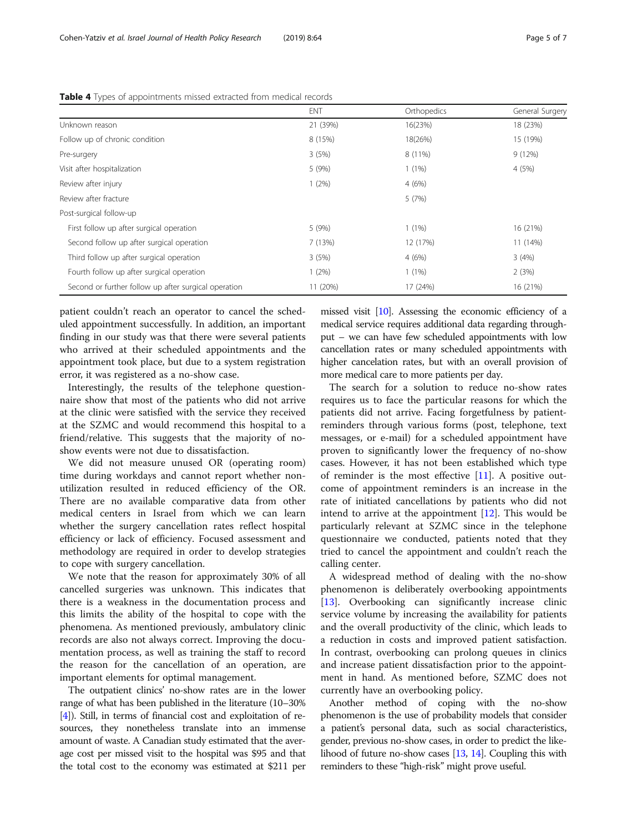|                                                      | <b>ENT</b> | Orthopedics | General Surgery |
|------------------------------------------------------|------------|-------------|-----------------|
| Unknown reason                                       | 21 (39%)   | 16(23%)     | 18 (23%)        |
| Follow up of chronic condition                       | 8 (15%)    | 18(26%)     | 15 (19%)        |
| Pre-surgery                                          | 3(5%)      | 8 (11%)     | 9(12%)          |
| Visit after hospitalization                          | 5 (9%)     | $1(1\%)$    | 4 (5%)          |
| Review after injury                                  | $1(2\%)$   | 4(6%)       |                 |
| Review after fracture                                |            | 5(7%)       |                 |
| Post-surgical follow-up                              |            |             |                 |
| First follow up after surgical operation             | 5 (9%)     | $1(1\%)$    | 16 (21%)        |
| Second follow up after surgical operation            | 7(13%)     | 12 (17%)    | 11 (14%)        |
| Third follow up after surgical operation             | 3(5%)      | 4(6%)       | 3(4%)           |
| Fourth follow up after surgical operation            | $1(2\%)$   | $1(1\%)$    | 2(3%)           |
| Second or further follow up after surgical operation | 11 (20%)   | 17 (24%)    | 16 (21%)        |

<span id="page-4-0"></span>Table 4 Types of appointments missed extracted from medical records

patient couldn't reach an operator to cancel the scheduled appointment successfully. In addition, an important finding in our study was that there were several patients who arrived at their scheduled appointments and the appointment took place, but due to a system registration error, it was registered as a no-show case.

Interestingly, the results of the telephone questionnaire show that most of the patients who did not arrive at the clinic were satisfied with the service they received at the SZMC and would recommend this hospital to a friend/relative. This suggests that the majority of noshow events were not due to dissatisfaction.

We did not measure unused OR (operating room) time during workdays and cannot report whether nonutilization resulted in reduced efficiency of the OR. There are no available comparative data from other medical centers in Israel from which we can learn whether the surgery cancellation rates reflect hospital efficiency or lack of efficiency. Focused assessment and methodology are required in order to develop strategies to cope with surgery cancellation.

We note that the reason for approximately 30% of all cancelled surgeries was unknown. This indicates that there is a weakness in the documentation process and this limits the ability of the hospital to cope with the phenomena. As mentioned previously, ambulatory clinic records are also not always correct. Improving the documentation process, as well as training the staff to record the reason for the cancellation of an operation, are important elements for optimal management.

The outpatient clinics' no-show rates are in the lower range of what has been published in the literature (10–30% [[4](#page-6-0)]). Still, in terms of financial cost and exploitation of resources, they nonetheless translate into an immense amount of waste. A Canadian study estimated that the average cost per missed visit to the hospital was \$95 and that the total cost to the economy was estimated at \$211 per missed visit  $[10]$  $[10]$ . Assessing the economic efficiency of a medical service requires additional data regarding throughput – we can have few scheduled appointments with low cancellation rates or many scheduled appointments with higher cancelation rates, but with an overall provision of more medical care to more patients per day.

The search for a solution to reduce no-show rates requires us to face the particular reasons for which the patients did not arrive. Facing forgetfulness by patientreminders through various forms (post, telephone, text messages, or e-mail) for a scheduled appointment have proven to significantly lower the frequency of no-show cases. However, it has not been established which type of reminder is the most effective  $[11]$  $[11]$ . A positive outcome of appointment reminders is an increase in the rate of initiated cancellations by patients who did not intend to arrive at the appointment  $[12]$  $[12]$ . This would be particularly relevant at SZMC since in the telephone questionnaire we conducted, patients noted that they tried to cancel the appointment and couldn't reach the calling center.

A widespread method of dealing with the no-show phenomenon is deliberately overbooking appointments [[13\]](#page-6-0). Overbooking can significantly increase clinic service volume by increasing the availability for patients and the overall productivity of the clinic, which leads to a reduction in costs and improved patient satisfaction. In contrast, overbooking can prolong queues in clinics and increase patient dissatisfaction prior to the appointment in hand. As mentioned before, SZMC does not currently have an overbooking policy.

Another method of coping with the no-show phenomenon is the use of probability models that consider a patient's personal data, such as social characteristics, gender, previous no-show cases, in order to predict the likelihood of future no-show cases [\[13](#page-6-0), [14\]](#page-6-0). Coupling this with reminders to these "high-risk" might prove useful.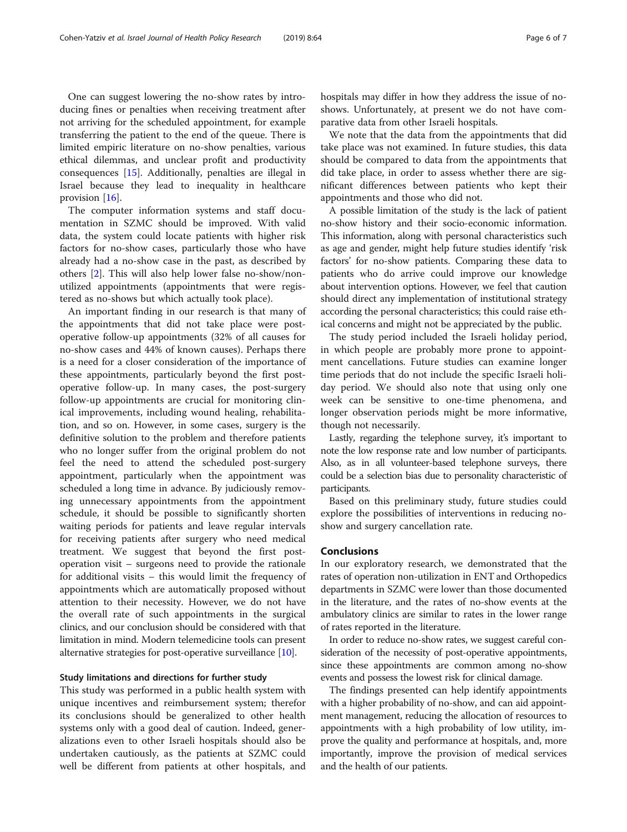One can suggest lowering the no-show rates by introducing fines or penalties when receiving treatment after not arriving for the scheduled appointment, for example transferring the patient to the end of the queue. There is limited empiric literature on no-show penalties, various ethical dilemmas, and unclear profit and productivity consequences [\[15](#page-6-0)]. Additionally, penalties are illegal in Israel because they lead to inequality in healthcare provision [[16\]](#page-6-0).

The computer information systems and staff documentation in SZMC should be improved. With valid data, the system could locate patients with higher risk factors for no-show cases, particularly those who have already had a no-show case in the past, as described by others [\[2\]](#page-6-0). This will also help lower false no-show/nonutilized appointments (appointments that were registered as no-shows but which actually took place).

An important finding in our research is that many of the appointments that did not take place were postoperative follow-up appointments (32% of all causes for no-show cases and 44% of known causes). Perhaps there is a need for a closer consideration of the importance of these appointments, particularly beyond the first postoperative follow-up. In many cases, the post-surgery follow-up appointments are crucial for monitoring clinical improvements, including wound healing, rehabilitation, and so on. However, in some cases, surgery is the definitive solution to the problem and therefore patients who no longer suffer from the original problem do not feel the need to attend the scheduled post-surgery appointment, particularly when the appointment was scheduled a long time in advance. By judiciously removing unnecessary appointments from the appointment schedule, it should be possible to significantly shorten waiting periods for patients and leave regular intervals for receiving patients after surgery who need medical treatment. We suggest that beyond the first postoperation visit – surgeons need to provide the rationale for additional visits – this would limit the frequency of appointments which are automatically proposed without attention to their necessity. However, we do not have the overall rate of such appointments in the surgical clinics, and our conclusion should be considered with that limitation in mind. Modern telemedicine tools can present alternative strategies for post-operative surveillance [\[10\]](#page-6-0).

#### Study limitations and directions for further study

This study was performed in a public health system with unique incentives and reimbursement system; therefor its conclusions should be generalized to other health systems only with a good deal of caution. Indeed, generalizations even to other Israeli hospitals should also be undertaken cautiously, as the patients at SZMC could well be different from patients at other hospitals, and hospitals may differ in how they address the issue of noshows. Unfortunately, at present we do not have comparative data from other Israeli hospitals.

We note that the data from the appointments that did take place was not examined. In future studies, this data should be compared to data from the appointments that did take place, in order to assess whether there are significant differences between patients who kept their appointments and those who did not.

A possible limitation of the study is the lack of patient no-show history and their socio-economic information. This information, along with personal characteristics such as age and gender, might help future studies identify 'risk factors' for no-show patients. Comparing these data to patients who do arrive could improve our knowledge about intervention options. However, we feel that caution should direct any implementation of institutional strategy according the personal characteristics; this could raise ethical concerns and might not be appreciated by the public.

The study period included the Israeli holiday period, in which people are probably more prone to appointment cancellations. Future studies can examine longer time periods that do not include the specific Israeli holiday period. We should also note that using only one week can be sensitive to one-time phenomena, and longer observation periods might be more informative, though not necessarily.

Lastly, regarding the telephone survey, it's important to note the low response rate and low number of participants. Also, as in all volunteer-based telephone surveys, there could be a selection bias due to personality characteristic of participants.

Based on this preliminary study, future studies could explore the possibilities of interventions in reducing noshow and surgery cancellation rate.

#### **Conclusions**

In our exploratory research, we demonstrated that the rates of operation non-utilization in ENT and Orthopedics departments in SZMC were lower than those documented in the literature, and the rates of no-show events at the ambulatory clinics are similar to rates in the lower range of rates reported in the literature.

In order to reduce no-show rates, we suggest careful consideration of the necessity of post-operative appointments, since these appointments are common among no-show events and possess the lowest risk for clinical damage.

The findings presented can help identify appointments with a higher probability of no-show, and can aid appointment management, reducing the allocation of resources to appointments with a high probability of low utility, improve the quality and performance at hospitals, and, more importantly, improve the provision of medical services and the health of our patients.